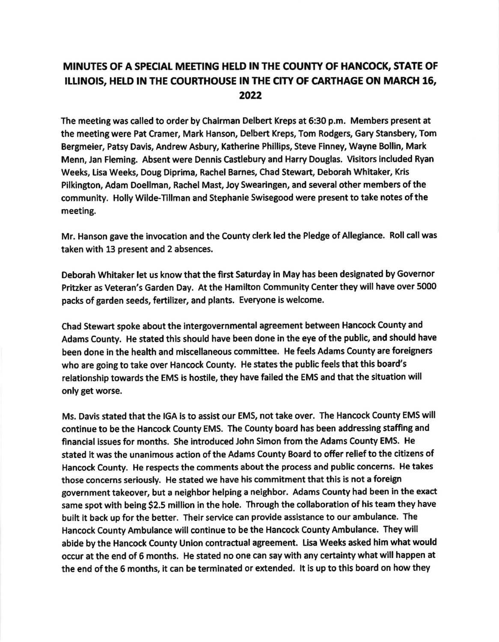## MINUTES OF A SPECIAL MEETING HELD IN THE COUNTY OF HANCOCK, STATE OF ILLINOIS, HELD IN THE COURTHOUSE IN THE CITY OF CARTHAGE ON MARCH 16, 2022

The meeting was called to order by Chairman Delbert Kreps at 6:30 p.m. Members present at the meeting were Pat Cramer, Mark Hanson, Delbert Kreps, Tom Rodgers, Gary Stansbery, Tom Bergmeier, Patsy Davis, Andrew Asbury, Katherine Phillips, Steve Finney, Wayne Bollin, Mark Menn, Jan Flemlng. Absent were Dennls Castlebury and Harry Douglas, Visltors included Ryan Weeks, Lisa Weeks, Doug Diprima, Rachel Barnes, Chad Stewart, Deborah Whitaker, Kris Pllkington, Adam Doellman, Rachel Mast, Joy Swearingen, and several other members ofthe communlty. Holly Wllde-Tlllman and Stephanle Swisegood were present to take notes of the meeting.

Mr, Hanson gave the invocation and the County clerk led the Pledge of Allegiance. Roll call was taken with 13 present and 2 absences.

Deborah Whitaker let us know that the ffrst Saturday ln May has been designated by Govemor Pritzker as Veteran's Garden Day. At the Hamilton Community Center they will have over 5000 packs of garden seeds, fertilizer, and plants. Everyone is welcome.

Chad Stewart spoke about the lntergovernmental agreement between Hancock County and Adams County. He stated this should have been done in the eye of the public, and should have been done in the health and miscellaneous committee. He feels Adams County are foreigners who are going to take over Hancock County. He states the public feels that this board's relationship towards the EMS is hostile, they have failed the EMS and that the situation will only get worse.

Ms. Davis stated that the IGA is to assist our EMS, not take over. The Hancock County EMS will continue to be the Hancock County EMS. The County board has been addressing staffing and financial issues for months. She introduced John Simon from the Adams County EMS. He stated it was the unanimous action of the Adams County Board to offer relief to the citizens of Hancock County. He respects the comments about the process and public concerns. He takes those concerns seriously. He stated we have his commitment that this is not a foreign government takeover, but a neighbor helping a neighbor. Adams County had been in the exact same spot with being \$2.5 million in the hole. Through the collaboration of his team they have built it back up for the better. Their service can provide assistance to our ambulance. The Hancock County Ambulance will continue to be the Hancock County Ambulance. They will abide by the Hancock County Union contractual agreement. Lisa Weeks asked him what would occur at the end of 6 months. He stated no one can say with any certainty what will happen at the end of the 6 months, it can be terminated or extended. It is up to this board on how they